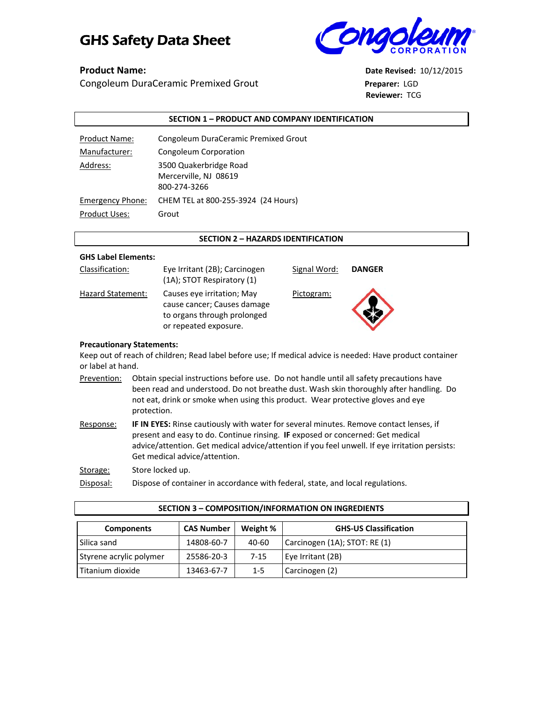# GHS Safety Data Sheet **CORAC**



Congoleum DuraCeramic Premixed Grout **Preparer:** LGD

**Product Name: Date Revised:** 10/12/2015 **Reviewer:** TCG

### **SECTION 1 – PRODUCT AND COMPANY IDENTIFICATION**

| Product Name:           | Congoleum DuraCeramic Premixed Grout                            |
|-------------------------|-----------------------------------------------------------------|
| Manufacturer:           | Congoleum Corporation                                           |
| Address:                | 3500 Quakerbridge Road<br>Mercerville, NJ 08619<br>800-274-3266 |
| <b>Emergency Phone:</b> | CHEM TEL at 800-255-3924 (24 Hours)                             |
| Product Uses:           | Grout                                                           |

### **SECTION 2 – HAZARDS IDENTIFICATION**

### **GHS Label Elements:**

| Classification:   | Eye Irritant (2B); Carcinogen<br>(1A); STOT Respiratory (1)                                                       |
|-------------------|-------------------------------------------------------------------------------------------------------------------|
| Hazard Statement: | Causes eye irritation; May<br>cause cancer; Causes damage<br>to organs through prolonged<br>or repeated exposure. |



Signal Word: **DANGER**

Pictogram:



### **Precautionary Statements:**

Keep out of reach of children; Read label before use; If medical advice is needed: Have product container or label at hand.

Prevention: Obtain special instructions before use. Do not handle until all safety precautions have been read and understood. Do not breathe dust. Wash skin thoroughly after handling. Do not eat, drink or smoke when using this product. Wear protective gloves and eye protection.

Response: **IF IN EYES:** Rinse cautiously with water for several minutes. Remove contact lenses, if present and easy to do. Continue rinsing. **IF** exposed or concerned: Get medical advice/attention. Get medical advice/attention if you feel unwell. If eye irritation persists: Get medical advice/attention.

Storage: Store locked up.

Disposal: Dispose of container in accordance with federal, state, and local regulations.

| SECTION 3 - COMPOSITION/INFORMATION ON INGREDIENTS                                 |            |          |                               |  |
|------------------------------------------------------------------------------------|------------|----------|-------------------------------|--|
| Weight %<br><b>CAS Number</b><br><b>GHS-US Classification</b><br><b>Components</b> |            |          |                               |  |
| Silica sand                                                                        | 14808-60-7 | 40-60    | Carcinogen (1A); STOT: RE (1) |  |
| Styrene acrylic polymer                                                            | 25586-20-3 | $7 - 15$ | Eye Irritant (2B)             |  |
| Titanium dioxide                                                                   | 13463-67-7 | $1 - 5$  | Carcinogen (2)                |  |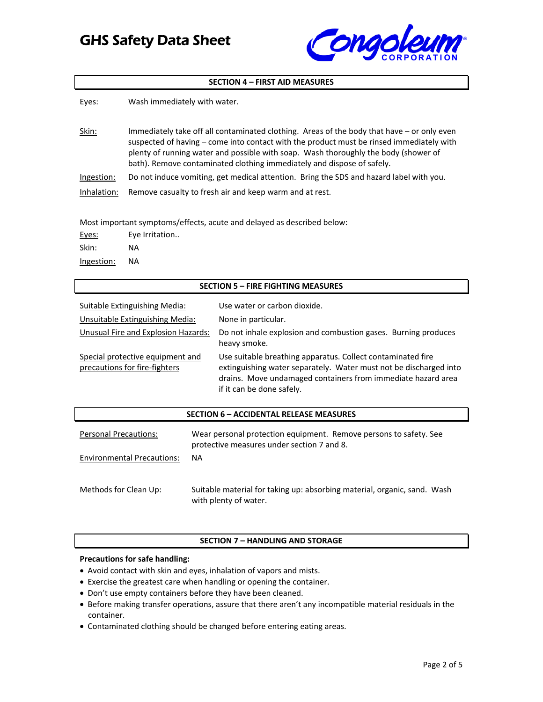### GHS Safety Data Sheet



### **SECTION 4 – FIRST AID MEASURES**

| Eyes:       | Wash immediately with water.                                                                                                                                                                                                                                                                                                                            |
|-------------|---------------------------------------------------------------------------------------------------------------------------------------------------------------------------------------------------------------------------------------------------------------------------------------------------------------------------------------------------------|
| Skin:       | Immediately take off all contaminated clothing. Areas of the body that have - or only even<br>suspected of having – come into contact with the product must be rinsed immediately with<br>plenty of running water and possible with soap. Wash thoroughly the body (shower of<br>bath). Remove contaminated clothing immediately and dispose of safely. |
| Ingestion:  | Do not induce vomiting, get medical attention. Bring the SDS and hazard label with you.                                                                                                                                                                                                                                                                 |
| Inhalation: | Remove casualty to fresh air and keep warm and at rest.                                                                                                                                                                                                                                                                                                 |
|             | Most important symptoms/effects, acute and delayed as described below:                                                                                                                                                                                                                                                                                  |

| Eyes:      | Eye Irritation |
|------------|----------------|
| Skin:      | ΝA             |
| Ingestion: | ΝA             |

### **SECTION 5 – FIRE FIGHTING MEASURES**

| Suitable Extinguishing Media:                                     | Use water or carbon dioxide.                                                                                                                                                                                                  |
|-------------------------------------------------------------------|-------------------------------------------------------------------------------------------------------------------------------------------------------------------------------------------------------------------------------|
| Unsuitable Extinguishing Media:                                   | None in particular.                                                                                                                                                                                                           |
| Unusual Fire and Explosion Hazards:                               | Do not inhale explosion and combustion gases. Burning produces<br>heavy smoke.                                                                                                                                                |
| Special protective equipment and<br>precautions for fire-fighters | Use suitable breathing apparatus. Collect contaminated fire<br>extinguishing water separately. Water must not be discharged into<br>drains. Move undamaged containers from immediate hazard area<br>if it can be done safely. |

### **SECTION 6 – ACCIDENTAL RELEASE MEASURES**

| Personal Precautions:             | Wear personal protection equipment. Remove persons to safety. See<br>protective measures under section 7 and 8. |
|-----------------------------------|-----------------------------------------------------------------------------------------------------------------|
| <b>Environmental Precautions:</b> | NA                                                                                                              |
|                                   |                                                                                                                 |
| Methods for Clean Up:             | Suitable material for taking up: absorbing material, organic, sand. Wash<br>with plenty of water.               |

### **SECTION 7 – HANDLING AND STORAGE**

### **Precautions for safe handling:**

- Avoid contact with skin and eyes, inhalation of vapors and mists.
- Exercise the greatest care when handling or opening the container.
- Don't use empty containers before they have been cleaned.
- Before making transfer operations, assure that there aren't any incompatible material residuals in the container.
- Contaminated clothing should be changed before entering eating areas.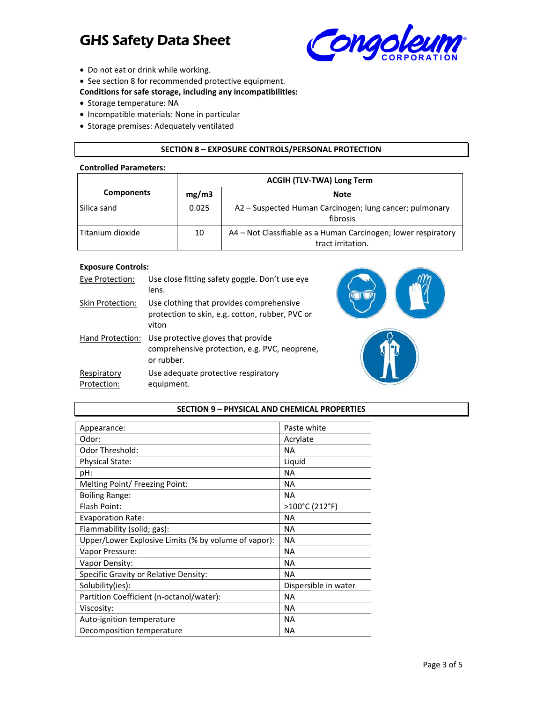## GHS Safety Data Sheet



- Do not eat or drink while working.
- See section 8 for recommended protective equipment.

**Conditions for safe storage, including any incompatibilities:**

- Storage temperature: NA
- Incompatible materials: None in particular
- Storage premises: Adequately ventilated

### **SECTION 8 – EXPOSURE CONTROLS/PERSONAL PROTECTION**

### **Controlled Parameters:**

|                   | <b>ACGIH (TLV-TWA) Long Term</b> |                                                                                     |
|-------------------|----------------------------------|-------------------------------------------------------------------------------------|
| <b>Components</b> | mg/m3                            | <b>Note</b>                                                                         |
| Silica sand       | 0.025                            | A2 – Suspected Human Carcinogen; lung cancer; pulmonary<br>fibrosis                 |
| Titanium dioxide  | 10                               | A4 – Not Classifiable as a Human Carcinogen; lower respiratory<br>tract irritation. |

### **Exposure Controls:**

| Eye Protection:            | Use close fitting safety goggle. Don't use eye<br>lens.                                                            |
|----------------------------|--------------------------------------------------------------------------------------------------------------------|
| Skin Protection:           | Use clothing that provides comprehensive<br>protection to skin, e.g. cotton, rubber, PVC or<br>viton               |
|                            | Hand Protection: Use protective gloves that provide<br>comprehensive protection, e.g. PVC, neoprene,<br>or rubber. |
| Respiratory<br>Protection: | Use adequate protective respiratory<br>equipment.                                                                  |



### **SECTION 9 – PHYSICAL AND CHEMICAL PROPERTIES**

| Appearance:                                          | Paste white          |
|------------------------------------------------------|----------------------|
| Odor:                                                | Acrylate             |
| <b>Odor Threshold:</b>                               | NA.                  |
| <b>Physical State:</b>                               | Liquid               |
| pH:                                                  | <b>NA</b>            |
| Melting Point/ Freezing Point:                       | <b>NA</b>            |
| <b>Boiling Range:</b>                                | <b>NA</b>            |
| Flash Point:                                         | >100°C (212°F)       |
| <b>Evaporation Rate:</b>                             | <b>NA</b>            |
| Flammability (solid; gas):                           | <b>NA</b>            |
| Upper/Lower Explosive Limits (% by volume of vapor): | <b>NA</b>            |
| Vapor Pressure:                                      | <b>NA</b>            |
| Vapor Density:                                       | <b>NA</b>            |
| Specific Gravity or Relative Density:                | <b>NA</b>            |
| Solubility(ies):                                     | Dispersible in water |
| Partition Coefficient (n-octanol/water):             | <b>NA</b>            |
| Viscosity:                                           | <b>NA</b>            |
| Auto-ignition temperature                            | <b>NA</b>            |
| Decomposition temperature                            | <b>NA</b>            |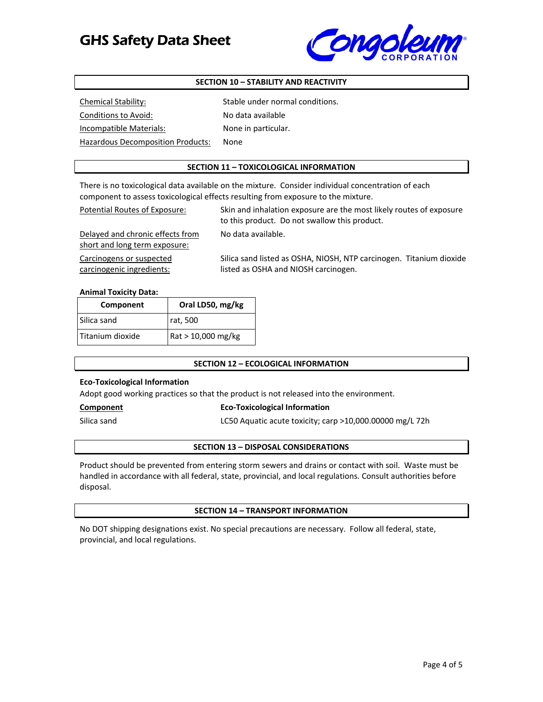

### **SECTION 10 – STABILITY AND REACTIVITY**

| Chemical Stability:               | Stable under normal conditions. |
|-----------------------------------|---------------------------------|
| Conditions to Avoid:              | No data available               |
| Incompatible Materials:           | None in particular.             |
| Hazardous Decomposition Products: | None                            |

### **SECTION 11 – TOXICOLOGICAL INFORMATION**

There is no toxicological data available on the mixture. Consider individual concentration of each component to assess toxicological effects resulting from exposure to the mixture.

No data available.

Potential Routes of Exposure: Skin and inhalation exposure are the most likely routes of exposure to this product. Do not swallow this product.

Delayed and chronic effects from short and long term exposure:

Carcinogens or suspected carcinogenic ingredients:

Silica sand listed as OSHA, NIOSH, NTP carcinogen. Titanium dioxide listed as OSHA and NIOSH carcinogen.

#### **Animal Toxicity Data:**

| Component          | Oral LD50, mg/kg   |
|--------------------|--------------------|
| l Silica sand      | rat, 500           |
| l Titanium dioxide | Rat > 10,000 mg/kg |

### **SECTION 12 – ECOLOGICAL INFORMATION**

### **Eco‐Toxicological Information**

Adopt good working practices so that the product is not released into the environment.

### **Component Eco‐Toxicological Information**

Silica sand **LC50** Aquatic acute toxicity; carp >10,000.00000 mg/L 72h

### **SECTION 13 – DISPOSAL CONSIDERATIONS**

Product should be prevented from entering storm sewers and drains or contact with soil. Waste must be handled in accordance with all federal, state, provincial, and local regulations. Consult authorities before disposal.

### **SECTION 14 – TRANSPORT INFORMATION**

No DOT shipping designations exist. No special precautions are necessary. Follow all federal, state, provincial, and local regulations.